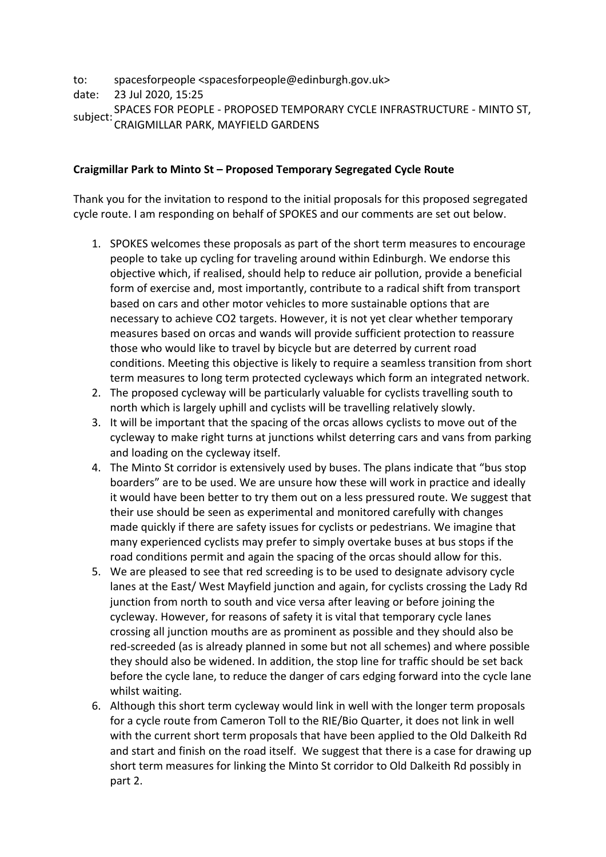to: spacesforpeople <spacesforpeople@edinburgh.gov.uk>

date: 23 Jul 2020, 15:25

subject: SPACES FOR PEOPLE - PROPOSED TEMPORARY CYCLE INFRASTRUCTURE - MINTO ST, CRAIGMILLAR PARK, MAYFIELD GARDENS

## **Craigmillar Park to Minto St – Proposed Temporary Segregated Cycle Route**

Thank you for the invitation to respond to the initial proposals for this proposed segregated cycle route. I am responding on behalf of SPOKES and our comments are set out below.

- 1. SPOKES welcomes these proposals as part of the short term measures to encourage people to take up cycling for traveling around within Edinburgh. We endorse this objective which, if realised, should help to reduce air pollution, provide a beneficial form of exercise and, most importantly, contribute to a radical shift from transport based on cars and other motor vehicles to more sustainable options that are necessary to achieve CO2 targets. However, it is not yet clear whether temporary measures based on orcas and wands will provide sufficient protection to reassure those who would like to travel by bicycle but are deterred by current road conditions. Meeting this objective is likely to require a seamless transition from short term measures to long term protected cycleways which form an integrated network.
- 2. The proposed cycleway will be particularly valuable for cyclists travelling south to north which is largely uphill and cyclists will be travelling relatively slowly.
- 3. It will be important that the spacing of the orcas allows cyclists to move out of the cycleway to make right turns at junctions whilst deterring cars and vans from parking and loading on the cycleway itself.
- 4. The Minto St corridor is extensively used by buses. The plans indicate that "bus stop boarders" are to be used. We are unsure how these will work in practice and ideally it would have been better to try them out on a less pressured route. We suggest that their use should be seen as experimental and monitored carefully with changes made quickly if there are safety issues for cyclists or pedestrians. We imagine that many experienced cyclists may prefer to simply overtake buses at bus stops if the road conditions permit and again the spacing of the orcas should allow for this.
- 5. We are pleased to see that red screeding is to be used to designate advisory cycle lanes at the East/ West Mayfield junction and again, for cyclists crossing the Lady Rd junction from north to south and vice versa after leaving or before joining the cycleway. However, for reasons of safety it is vital that temporary cycle lanes crossing all junction mouths are as prominent as possible and they should also be red-screeded (as is already planned in some but not all schemes) and where possible they should also be widened. In addition, the stop line for traffic should be set back before the cycle lane, to reduce the danger of cars edging forward into the cycle lane whilst waiting.
- 6. Although this short term cycleway would link in well with the longer term proposals for a cycle route from Cameron Toll to the RIE/Bio Quarter, it does not link in well with the current short term proposals that have been applied to the Old Dalkeith Rd and start and finish on the road itself. We suggest that there is a case for drawing up short term measures for linking the Minto St corridor to Old Dalkeith Rd possibly in part 2.